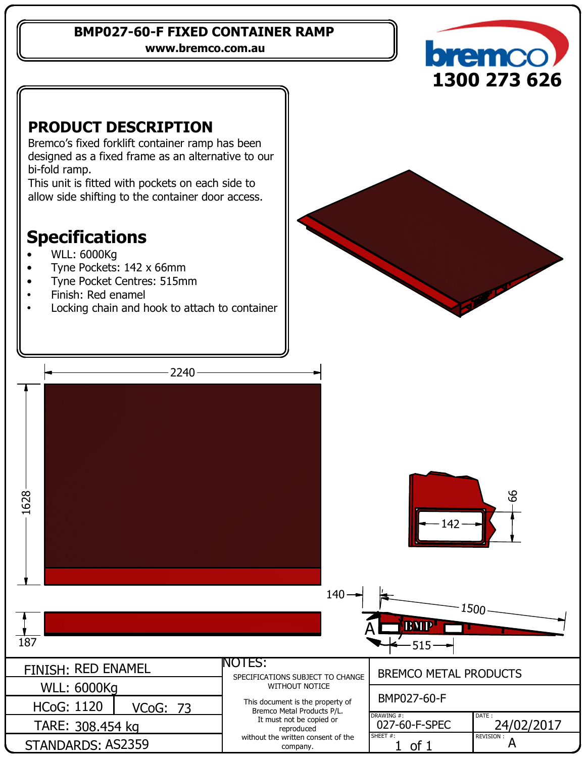#### **BMP027-60-F FIXED CONTAINER RAMP**

**www.bremco.com.au**





Bremco's fixed forklift container ramp has been designed as a fixed frame as an alternative to our bi-fold ramp.

This unit is fitted with pockets on each side to allow side shifting to the container door access.

# **Specifications**

- WLL: 6000Kg
- Tyne Pockets: 142 x 66mm
- Tyne Pocket Centres: 515mm
- Finish: Red enamel
- Locking chain and hook to attach to container

 $2240 -$ 616 286142 140 1500 BMP A  $187$  515 NOTES: FINISH: RED ENAMEL BREMCO METAL PRODUCTS SPECIFICATIONS SUBJECT TO CHANGE WITHOUT NOTICE WLL: 6000Kg BMP027-60-F This document is the property of HCoG: 1120 <u>VCoG: 73</u> Bremco Metal Products P/L. DRAWING #: DATE : It must not be copied or 027-60-F-SPEC | 24/02/2017 TARE: 308.454 kg reproduced SHEET #: without the written consent of the REVISION :  $1$  of  $1$   $A$ STANDARDS: AS2359

company.